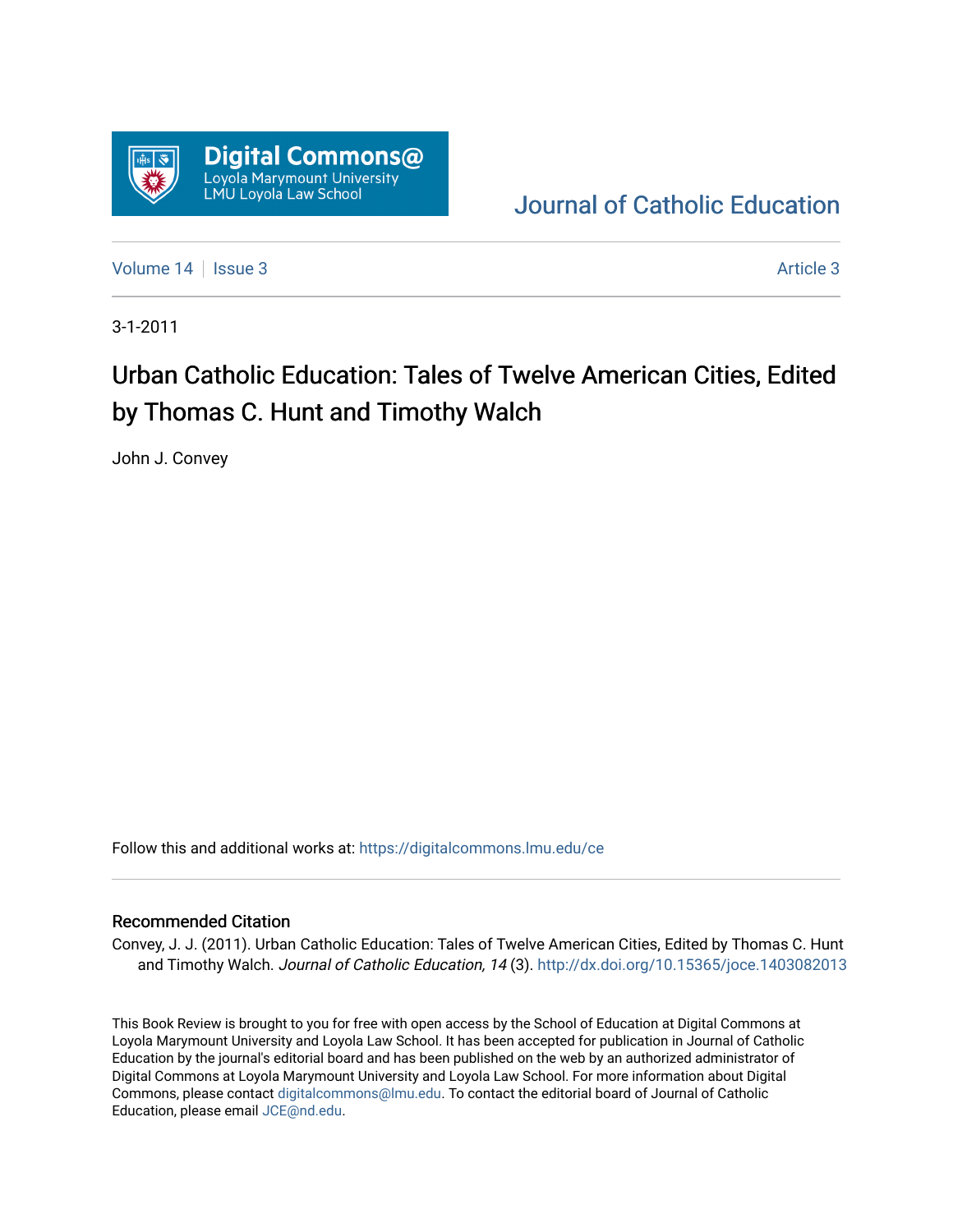

[Journal of Catholic Education](https://digitalcommons.lmu.edu/ce) 

[Volume 14](https://digitalcommons.lmu.edu/ce/vol14) | [Issue 3](https://digitalcommons.lmu.edu/ce/vol14/iss3) Article 3

3-1-2011

## Urban Catholic Education: Tales of Twelve American Cities, Edited by Thomas C. Hunt and Timothy Walch

John J. Convey

Follow this and additional works at: [https://digitalcommons.lmu.edu/ce](https://digitalcommons.lmu.edu/ce?utm_source=digitalcommons.lmu.edu%2Fce%2Fvol14%2Fiss3%2F3&utm_medium=PDF&utm_campaign=PDFCoverPages)

## Recommended Citation

Convey, J. J. (2011). Urban Catholic Education: Tales of Twelve American Cities, Edited by Thomas C. Hunt and Timothy Walch. Journal of Catholic Education, 14 (3). <http://dx.doi.org/10.15365/joce.1403082013>

This Book Review is brought to you for free with open access by the School of Education at Digital Commons at Loyola Marymount University and Loyola Law School. It has been accepted for publication in Journal of Catholic Education by the journal's editorial board and has been published on the web by an authorized administrator of Digital Commons at Loyola Marymount University and Loyola Law School. For more information about Digital Commons, please contact [digitalcommons@lmu.edu.](mailto:digitalcommons@lmu.edu) To contact the editorial board of Journal of Catholic Education, please email [JCE@nd.edu.](mailto:JCE@nd.edu)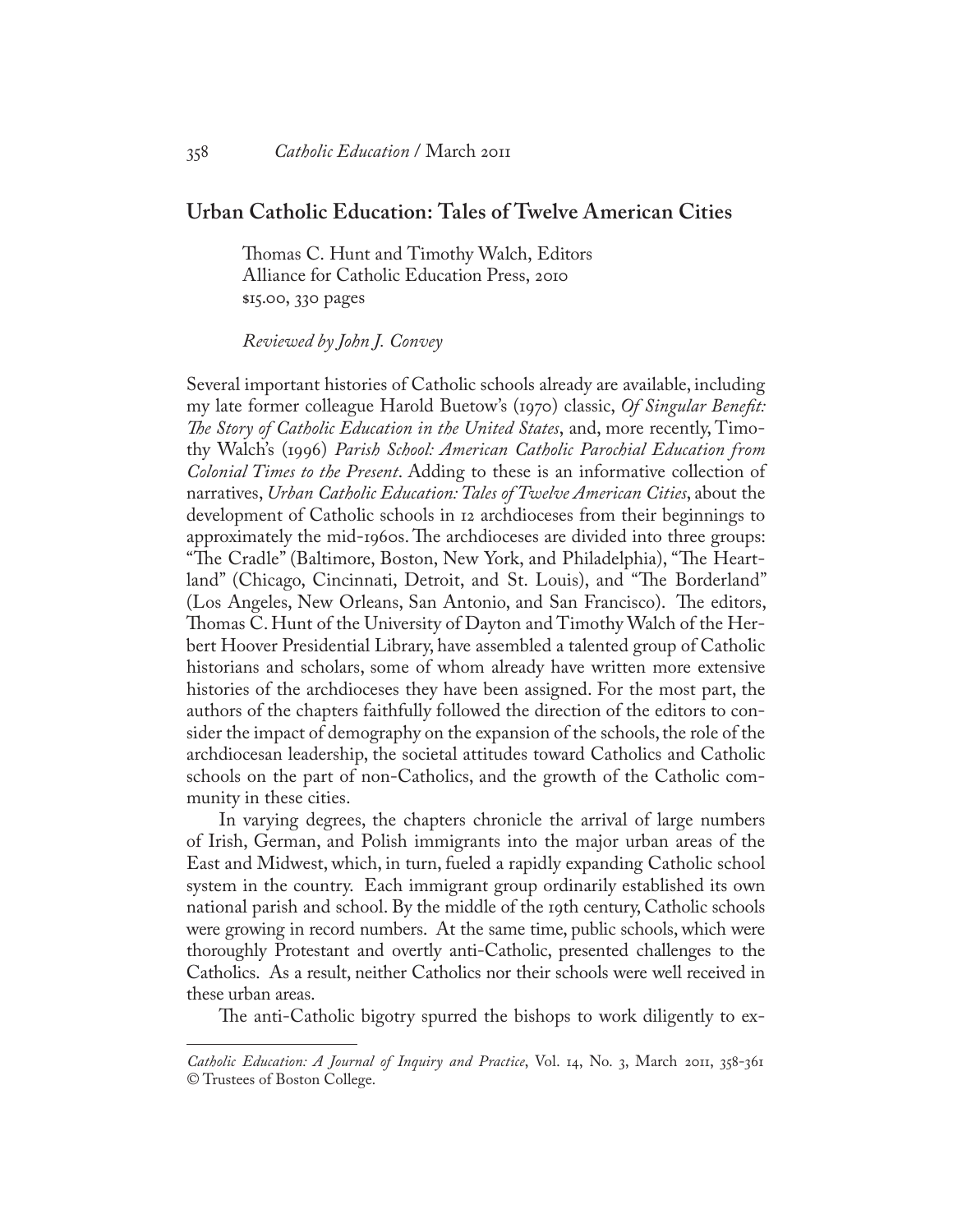## **Urban Catholic Education: Tales of Twelve American Cities**

Thomas C. Hunt and Timothy Walch, Editors Alliance for Catholic Education Press, 2010 \$15.00, 330 pages

*Reviewed by John J. Convey*

Several important histories of Catholic schools already are available, including my late former colleague Harold Buetow's (1970) classic, *Of Singular Benefit: The Story of Catholic Education in the United States*, and, more recently, Timothy Walch's (1996) *Parish School: American Catholic Parochial Education from Colonial Times to the Present*. Adding to these is an informative collection of narratives, *Urban Catholic Education: Tales of Twelve American Cities*, about the development of Catholic schools in 12 archdioceses from their beginnings to approximately the mid-1960s. The archdioceses are divided into three groups: "The Cradle" (Baltimore, Boston, New York, and Philadelphia), "The Heartland" (Chicago, Cincinnati, Detroit, and St. Louis), and "The Borderland" (Los Angeles, New Orleans, San Antonio, and San Francisco). The editors, Thomas C. Hunt of the University of Dayton and Timothy Walch of the Herbert Hoover Presidential Library, have assembled a talented group of Catholic historians and scholars, some of whom already have written more extensive histories of the archdioceses they have been assigned. For the most part, the authors of the chapters faithfully followed the direction of the editors to consider the impact of demography on the expansion of the schools, the role of the archdiocesan leadership, the societal attitudes toward Catholics and Catholic schools on the part of non-Catholics, and the growth of the Catholic community in these cities.

In varying degrees, the chapters chronicle the arrival of large numbers of Irish, German, and Polish immigrants into the major urban areas of the East and Midwest, which, in turn, fueled a rapidly expanding Catholic school system in the country. Each immigrant group ordinarily established its own national parish and school. By the middle of the 19th century, Catholic schools were growing in record numbers. At the same time, public schools, which were thoroughly Protestant and overtly anti-Catholic, presented challenges to the Catholics. As a result, neither Catholics nor their schools were well received in these urban areas.

The anti-Catholic bigotry spurred the bishops to work diligently to ex-

*Catholic Education: A Journal of Inquiry and Practice*, Vol. 14, No. 3, March 2011, 358-361 © Trustees of Boston College.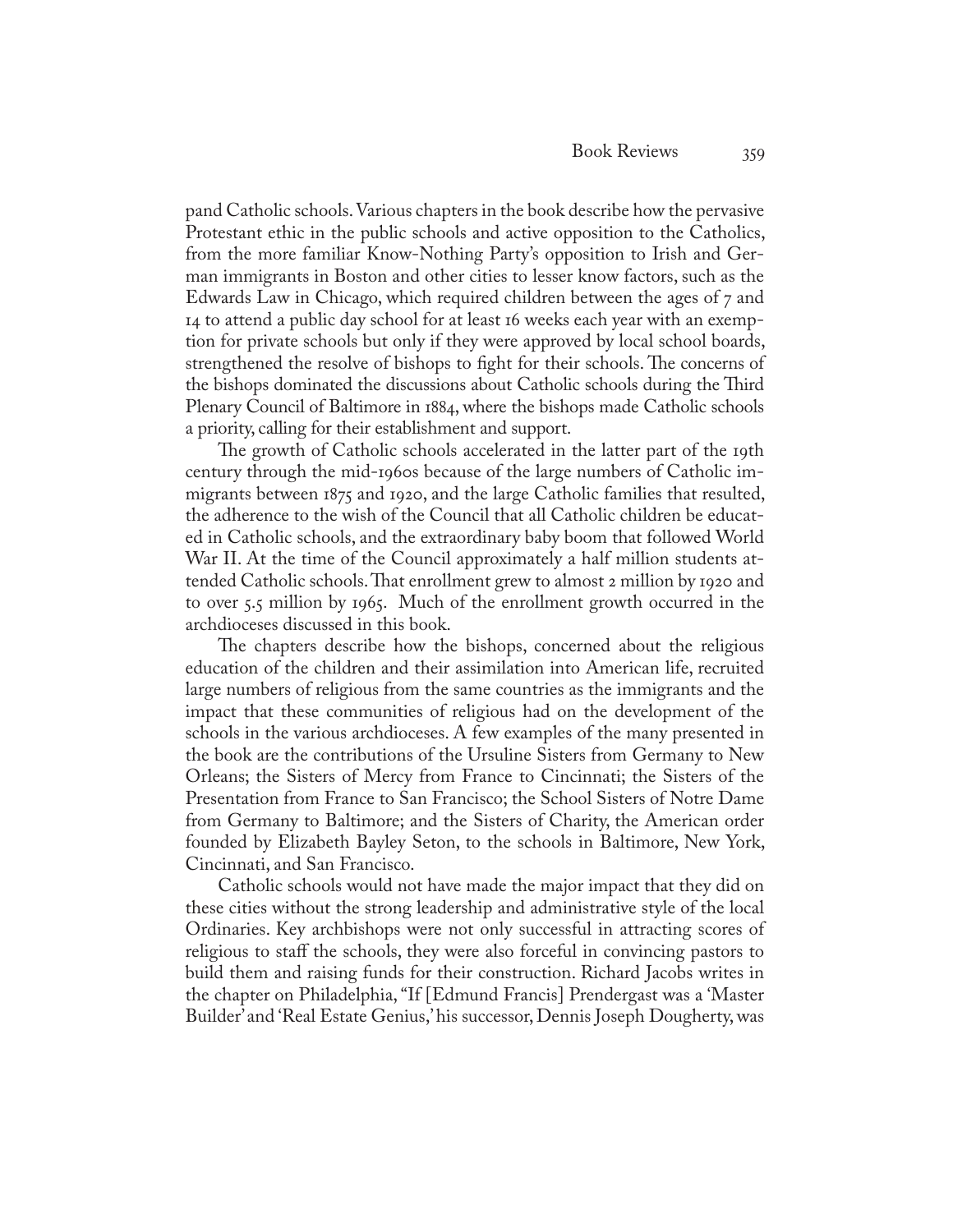pand Catholic schools. Various chapters in the book describe how the pervasive Protestant ethic in the public schools and active opposition to the Catholics, from the more familiar Know-Nothing Party's opposition to Irish and German immigrants in Boston and other cities to lesser know factors, such as the Edwards Law in Chicago, which required children between the ages of 7 and 14 to attend a public day school for at least 16 weeks each year with an exemption for private schools but only if they were approved by local school boards, strengthened the resolve of bishops to fight for their schools. The concerns of the bishops dominated the discussions about Catholic schools during the Third Plenary Council of Baltimore in 1884, where the bishops made Catholic schools a priority, calling for their establishment and support.

The growth of Catholic schools accelerated in the latter part of the 19th century through the mid-1960s because of the large numbers of Catholic immigrants between 1875 and 1920, and the large Catholic families that resulted, the adherence to the wish of the Council that all Catholic children be educated in Catholic schools, and the extraordinary baby boom that followed World War II. At the time of the Council approximately a half million students attended Catholic schools. That enrollment grew to almost 2 million by 1920 and to over 5.5 million by 1965. Much of the enrollment growth occurred in the archdioceses discussed in this book.

The chapters describe how the bishops, concerned about the religious education of the children and their assimilation into American life, recruited large numbers of religious from the same countries as the immigrants and the impact that these communities of religious had on the development of the schools in the various archdioceses. A few examples of the many presented in the book are the contributions of the Ursuline Sisters from Germany to New Orleans; the Sisters of Mercy from France to Cincinnati; the Sisters of the Presentation from France to San Francisco; the School Sisters of Notre Dame from Germany to Baltimore; and the Sisters of Charity, the American order founded by Elizabeth Bayley Seton, to the schools in Baltimore, New York, Cincinnati, and San Francisco.

Catholic schools would not have made the major impact that they did on these cities without the strong leadership and administrative style of the local Ordinaries. Key archbishops were not only successful in attracting scores of religious to staff the schools, they were also forceful in convincing pastors to build them and raising funds for their construction. Richard Jacobs writes in the chapter on Philadelphia, "If [Edmund Francis] Prendergast was a 'Master Builder' and 'Real Estate Genius,' his successor, Dennis Joseph Dougherty, was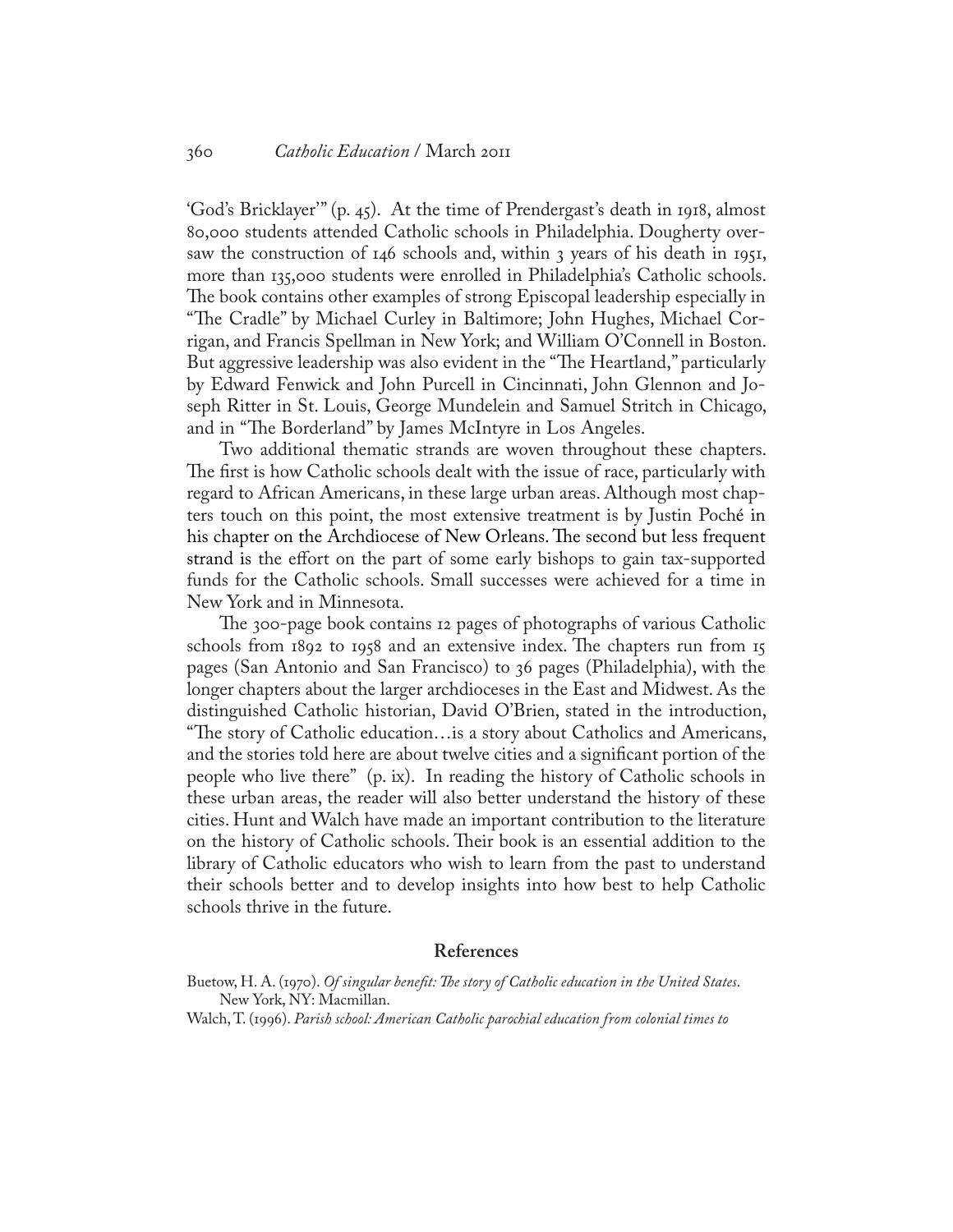'God's Bricklayer'" (p. 45). At the time of Prendergast's death in 1918, almost 80,000 students attended Catholic schools in Philadelphia. Dougherty oversaw the construction of 146 schools and, within 3 years of his death in 1951, more than 135,000 students were enrolled in Philadelphia's Catholic schools. The book contains other examples of strong Episcopal leadership especially in "The Cradle" by Michael Curley in Baltimore; John Hughes, Michael Corrigan, and Francis Spellman in New York; and William O'Connell in Boston. But aggressive leadership was also evident in the "The Heartland," particularly by Edward Fenwick and John Purcell in Cincinnati, John Glennon and Joseph Ritter in St. Louis, George Mundelein and Samuel Stritch in Chicago, and in "The Borderland" by James McIntyre in Los Angeles.

Two additional thematic strands are woven throughout these chapters. The first is how Catholic schools dealt with the issue of race, particularly with regard to African Americans, in these large urban areas. Although most chapters touch on this point, the most extensive treatment is by Justin Poché in his chapter on the Archdiocese of New Orleans. The second but less frequent strand is the effort on the part of some early bishops to gain tax-supported funds for the Catholic schools. Small successes were achieved for a time in New York and in Minnesota.

The 300-page book contains 12 pages of photographs of various Catholic schools from 1892 to 1958 and an extensive index. The chapters run from 15 pages (San Antonio and San Francisco) to 36 pages (Philadelphia), with the longer chapters about the larger archdioceses in the East and Midwest. As the distinguished Catholic historian, David O'Brien, stated in the introduction, "The story of Catholic education…is a story about Catholics and Americans, and the stories told here are about twelve cities and a significant portion of the people who live there" (p. ix). In reading the history of Catholic schools in these urban areas, the reader will also better understand the history of these cities. Hunt and Walch have made an important contribution to the literature on the history of Catholic schools. Their book is an essential addition to the library of Catholic educators who wish to learn from the past to understand their schools better and to develop insights into how best to help Catholic schools thrive in the future.

## **References**

Buetow, H. A. (1970). *Of singular benefit: The story of Catholic education in the United States*. New York, NY: Macmillan.

Walch, T. (1996). *Parish school: American Catholic parochial education from colonial times to*